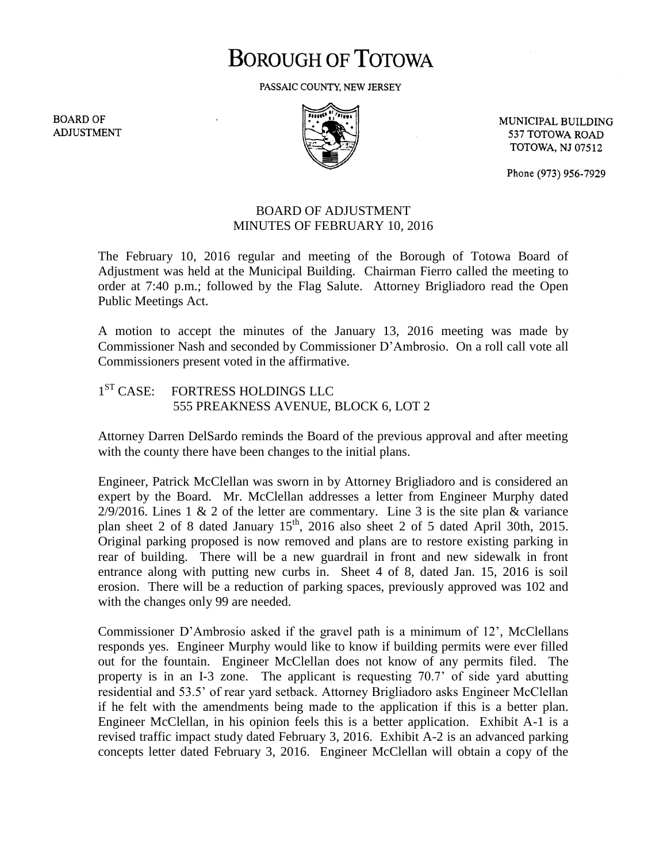# **BOROUGH OF TOTOWA**

PASSAIC COUNTY, NEW JERSEY

**BOARD OF ADJUSTMENT** 



MUNICIPAL BUILDING 537 TOTOWA ROAD **TOTOWA, NJ 07512** 

Phone (973) 956-7929

### BOARD OF ADJUSTMENT MINUTES OF FEBRUARY 10, 2016

The February 10, 2016 regular and meeting of the Borough of Totowa Board of Adjustment was held at the Municipal Building. Chairman Fierro called the meeting to order at 7:40 p.m.; followed by the Flag Salute. Attorney Brigliadoro read the Open Public Meetings Act.

A motion to accept the minutes of the January 13, 2016 meeting was made by Commissioner Nash and seconded by Commissioner D'Ambrosio. On a roll call vote all Commissioners present voted in the affirmative.

#### $1<sup>ST</sup> CASE:$ FORTRESS HOLDINGS LLC 555 PREAKNESS AVENUE, BLOCK 6, LOT 2

Attorney Darren DelSardo reminds the Board of the previous approval and after meeting with the county there have been changes to the initial plans.

Engineer, Patrick McClellan was sworn in by Attorney Brigliadoro and is considered an expert by the Board. Mr. McClellan addresses a letter from Engineer Murphy dated  $2/9/2016$ . Lines 1 & 2 of the letter are commentary. Line 3 is the site plan & variance plan sheet 2 of 8 dated January  $15<sup>th</sup>$ , 2016 also sheet 2 of 5 dated April 30th, 2015. Original parking proposed is now removed and plans are to restore existing parking in rear of building. There will be a new guardrail in front and new sidewalk in front entrance along with putting new curbs in. Sheet 4 of 8, dated Jan. 15, 2016 is soil erosion. There will be a reduction of parking spaces, previously approved was 102 and with the changes only 99 are needed.

Commissioner D'Ambrosio asked if the gravel path is a minimum of 12', McClellans responds yes. Engineer Murphy would like to know if building permits were ever filled out for the fountain. Engineer McClellan does not know of any permits filed. The property is in an I-3 zone. The applicant is requesting 70.7' of side yard abutting residential and 53.5' of rear yard setback. Attorney Brigliadoro asks Engineer McClellan if he felt with the amendments being made to the application if this is a better plan. Engineer McClellan, in his opinion feels this is a better application. Exhibit A-1 is a revised traffic impact study dated February 3, 2016. Exhibit A-2 is an advanced parking concepts letter dated February 3, 2016. Engineer McClellan will obtain a copy of the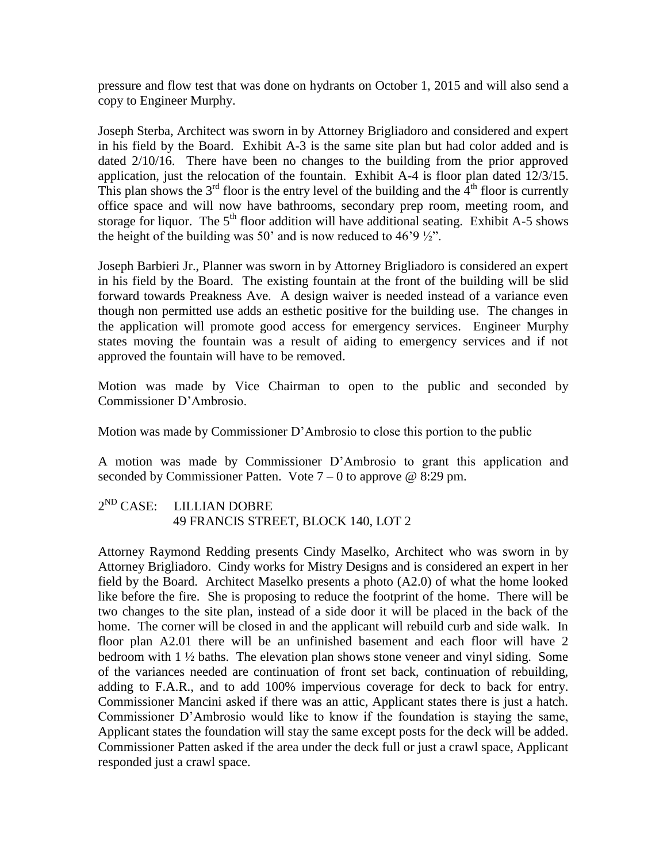pressure and flow test that was done on hydrants on October 1, 2015 and will also send a copy to Engineer Murphy.

Joseph Sterba, Architect was sworn in by Attorney Brigliadoro and considered and expert in his field by the Board. Exhibit A-3 is the same site plan but had color added and is dated 2/10/16. There have been no changes to the building from the prior approved application, just the relocation of the fountain. Exhibit A-4 is floor plan dated 12/3/15. This plan shows the  $3<sup>rd</sup>$  floor is the entry level of the building and the  $4<sup>th</sup>$  floor is currently office space and will now have bathrooms, secondary prep room, meeting room, and storage for liquor. The  $5<sup>th</sup>$  floor addition will have additional seating. Exhibit A-5 shows the height of the building was 50' and is now reduced to 46'9  $\frac{1}{2}$ ".

Joseph Barbieri Jr., Planner was sworn in by Attorney Brigliadoro is considered an expert in his field by the Board. The existing fountain at the front of the building will be slid forward towards Preakness Ave. A design waiver is needed instead of a variance even though non permitted use adds an esthetic positive for the building use. The changes in the application will promote good access for emergency services. Engineer Murphy states moving the fountain was a result of aiding to emergency services and if not approved the fountain will have to be removed.

Motion was made by Vice Chairman to open to the public and seconded by Commissioner D'Ambrosio.

Motion was made by Commissioner D'Ambrosio to close this portion to the public

A motion was made by Commissioner D'Ambrosio to grant this application and seconded by Commissioner Patten. Vote  $7 - 0$  to approve @ 8:29 pm.

#### $2^{ND}$  CASE: LILLIAN DOBRE 49 FRANCIS STREET, BLOCK 140, LOT 2

Attorney Raymond Redding presents Cindy Maselko, Architect who was sworn in by Attorney Brigliadoro. Cindy works for Mistry Designs and is considered an expert in her field by the Board. Architect Maselko presents a photo (A2.0) of what the home looked like before the fire. She is proposing to reduce the footprint of the home. There will be two changes to the site plan, instead of a side door it will be placed in the back of the home. The corner will be closed in and the applicant will rebuild curb and side walk. In floor plan A2.01 there will be an unfinished basement and each floor will have 2 bedroom with 1 ½ baths. The elevation plan shows stone veneer and vinyl siding. Some of the variances needed are continuation of front set back, continuation of rebuilding, adding to F.A.R., and to add 100% impervious coverage for deck to back for entry. Commissioner Mancini asked if there was an attic, Applicant states there is just a hatch. Commissioner D'Ambrosio would like to know if the foundation is staying the same, Applicant states the foundation will stay the same except posts for the deck will be added. Commissioner Patten asked if the area under the deck full or just a crawl space, Applicant responded just a crawl space.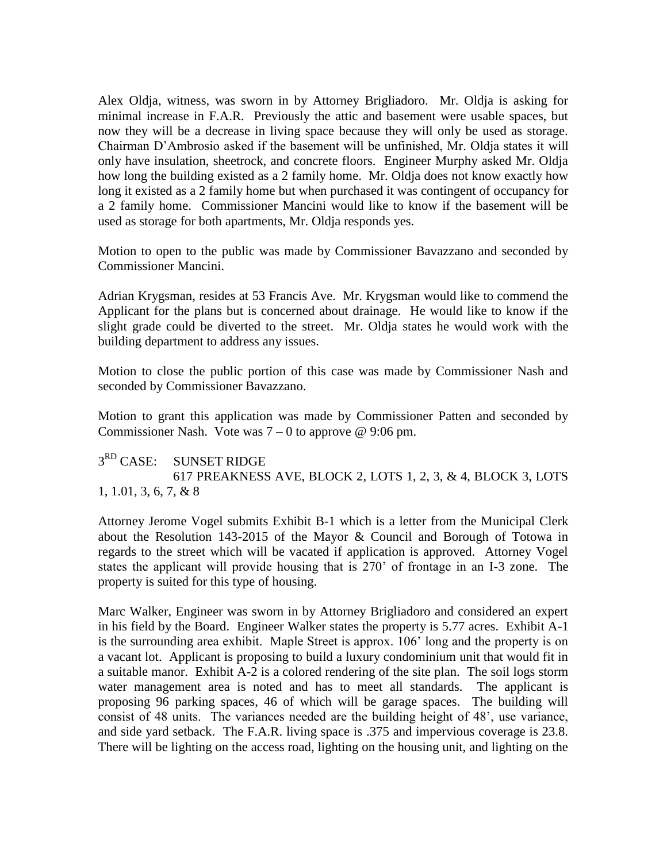Alex Oldja, witness, was sworn in by Attorney Brigliadoro. Mr. Oldja is asking for minimal increase in F.A.R. Previously the attic and basement were usable spaces, but now they will be a decrease in living space because they will only be used as storage. Chairman D'Ambrosio asked if the basement will be unfinished, Mr. Oldja states it will only have insulation, sheetrock, and concrete floors. Engineer Murphy asked Mr. Oldja how long the building existed as a 2 family home. Mr. Oldja does not know exactly how long it existed as a 2 family home but when purchased it was contingent of occupancy for a 2 family home. Commissioner Mancini would like to know if the basement will be used as storage for both apartments, Mr. Oldja responds yes.

Motion to open to the public was made by Commissioner Bavazzano and seconded by Commissioner Mancini.

Adrian Krygsman, resides at 53 Francis Ave. Mr. Krygsman would like to commend the Applicant for the plans but is concerned about drainage. He would like to know if the slight grade could be diverted to the street. Mr. Oldja states he would work with the building department to address any issues.

Motion to close the public portion of this case was made by Commissioner Nash and seconded by Commissioner Bavazzano.

Motion to grant this application was made by Commissioner Patten and seconded by Commissioner Nash. Vote was  $7 - 0$  to approve @ 9:06 pm.

#### $3<sup>RD</sup> CASE:$ SUNSET RIDGE 617 PREAKNESS AVE, BLOCK 2, LOTS 1, 2, 3, & 4, BLOCK 3, LOTS 1, 1.01, 3, 6, 7, & 8

Attorney Jerome Vogel submits Exhibit B-1 which is a letter from the Municipal Clerk about the Resolution 143-2015 of the Mayor & Council and Borough of Totowa in regards to the street which will be vacated if application is approved. Attorney Vogel states the applicant will provide housing that is 270' of frontage in an I-3 zone. The property is suited for this type of housing.

Marc Walker, Engineer was sworn in by Attorney Brigliadoro and considered an expert in his field by the Board. Engineer Walker states the property is 5.77 acres. Exhibit A-1 is the surrounding area exhibit. Maple Street is approx. 106' long and the property is on a vacant lot. Applicant is proposing to build a luxury condominium unit that would fit in a suitable manor. Exhibit A-2 is a colored rendering of the site plan. The soil logs storm water management area is noted and has to meet all standards. The applicant is proposing 96 parking spaces, 46 of which will be garage spaces. The building will consist of 48 units. The variances needed are the building height of 48', use variance, and side yard setback. The F.A.R. living space is .375 and impervious coverage is 23.8. There will be lighting on the access road, lighting on the housing unit, and lighting on the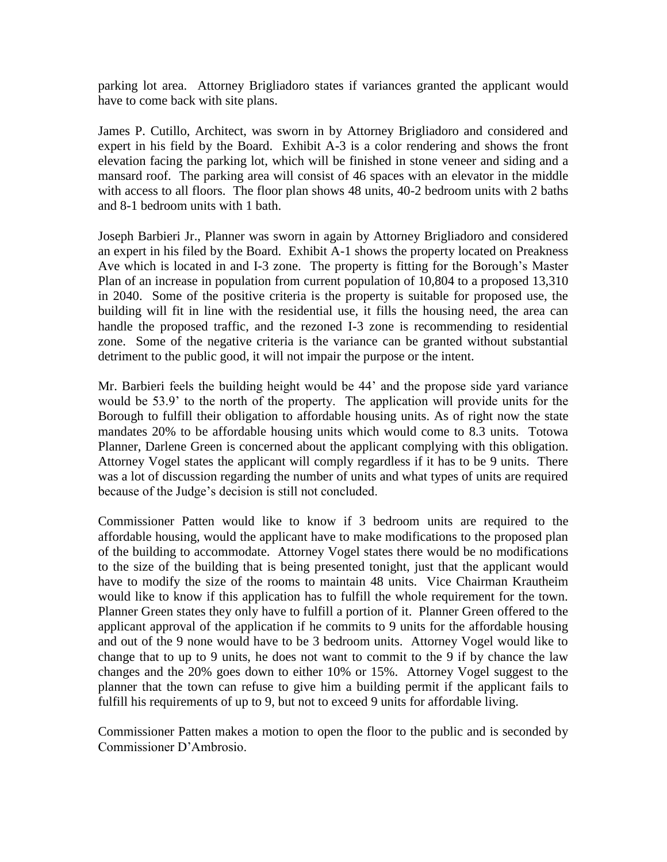parking lot area. Attorney Brigliadoro states if variances granted the applicant would have to come back with site plans.

James P. Cutillo, Architect, was sworn in by Attorney Brigliadoro and considered and expert in his field by the Board. Exhibit A-3 is a color rendering and shows the front elevation facing the parking lot, which will be finished in stone veneer and siding and a mansard roof. The parking area will consist of 46 spaces with an elevator in the middle with access to all floors. The floor plan shows 48 units, 40-2 bedroom units with 2 baths and 8-1 bedroom units with 1 bath.

Joseph Barbieri Jr., Planner was sworn in again by Attorney Brigliadoro and considered an expert in his filed by the Board. Exhibit A-1 shows the property located on Preakness Ave which is located in and I-3 zone. The property is fitting for the Borough's Master Plan of an increase in population from current population of 10,804 to a proposed 13,310 in 2040. Some of the positive criteria is the property is suitable for proposed use, the building will fit in line with the residential use, it fills the housing need, the area can handle the proposed traffic, and the rezoned I-3 zone is recommending to residential zone. Some of the negative criteria is the variance can be granted without substantial detriment to the public good, it will not impair the purpose or the intent.

Mr. Barbieri feels the building height would be 44' and the propose side yard variance would be 53.9' to the north of the property. The application will provide units for the Borough to fulfill their obligation to affordable housing units. As of right now the state mandates 20% to be affordable housing units which would come to 8.3 units. Totowa Planner, Darlene Green is concerned about the applicant complying with this obligation. Attorney Vogel states the applicant will comply regardless if it has to be 9 units. There was a lot of discussion regarding the number of units and what types of units are required because of the Judge's decision is still not concluded.

Commissioner Patten would like to know if 3 bedroom units are required to the affordable housing, would the applicant have to make modifications to the proposed plan of the building to accommodate. Attorney Vogel states there would be no modifications to the size of the building that is being presented tonight, just that the applicant would have to modify the size of the rooms to maintain 48 units. Vice Chairman Krautheim would like to know if this application has to fulfill the whole requirement for the town. Planner Green states they only have to fulfill a portion of it. Planner Green offered to the applicant approval of the application if he commits to 9 units for the affordable housing and out of the 9 none would have to be 3 bedroom units. Attorney Vogel would like to change that to up to 9 units, he does not want to commit to the 9 if by chance the law changes and the 20% goes down to either 10% or 15%. Attorney Vogel suggest to the planner that the town can refuse to give him a building permit if the applicant fails to fulfill his requirements of up to 9, but not to exceed 9 units for affordable living.

Commissioner Patten makes a motion to open the floor to the public and is seconded by Commissioner D'Ambrosio.